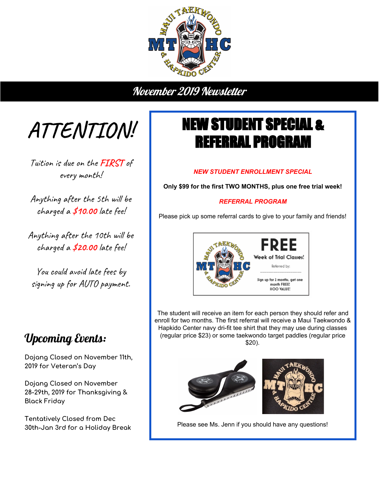

November 2019 Newsletter

**ATTENTION!**

Tuition is due on the **FIRST** of every month!

Anything after the 5th will be charged a **\$10.00** late fee!

Anything after the 10th will be charged a **\$20.00** late fee!

You could avoid late fees by signing up for AUTO payment.

## Upcoming Events:

**Dojang Closed on November 11th, 2019 for Veteran's Day**

**Dojang Closed on November 28-29th, 2019 for Thanksgiving & Black Friday**

**Tentatively Closed from Dec 30th-Jan 3rd for a Holiday Break**

## NEW STUDENT SPECIAL & REFERRAL PROGRAM

## *NEW STUDENT ENROLLMENT SPECIAL*

**Only \$99 for the first TWO MONTHS, plus one free trial week!**

## *REFERRAL PROGRAM*

Please pick up some referral cards to give to your family and friends!



The student will receive an item for each person they should refer and enroll for two months. The first referral will receive a Maui Taekwondo & Hapkido Center navy dri-fit tee shirt that they may use during classes (regular price \$23) or some taekwondo target paddles (regular price \$20).



Please see Ms. Jenn if you should have any questions!